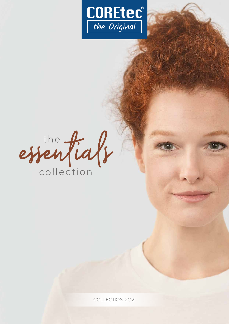

essentials

COLLECTION 2021

**CUMANISM**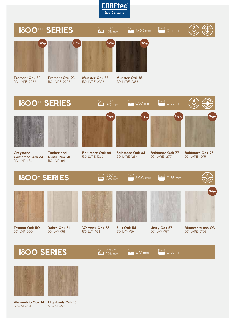



**Greystone Contempo Oak 34** 50-LVR-634



**Timberland Rustic Pine 41** 50-LVR-641

**Baltimore Oak 66** 50-LVRE-1266

**Baltimore Oak 84** 50-LVRE-1284

**12** 

**Baltimore Oak 77** 50-LVRE-1277

 $\rightarrow$ 

**Baltimore Oak 95** 50-LVRE-1295

## **1800+ SERIES**



 $50-1VP-950$ 



**Dobra Oak 51** 50-LVP-951



<sup>1830</sup> x

228 mm

**Warwick Oak 53**  $50$ -LVP-953

<sup>1830</sup> x

228 mm



 $\mathbb{R}$ 

**Unity Oak 57**  $50-1VP-957$ 50-LVP-954



 $\left| \frac{1}{1} \right|$ 

0,55 mm

new

**<sup>V</sup>- <sup>G</sup> <sup>R</sup> <sup>O</sup> <sup>O</sup><sup>V</sup> <sup>E</sup>**

**Minnesota Ash 03** 50-LVPE-2103

**1800 SERIES**



**Alexandria Oak 14** 50-LVP-614



**Highlands Oak 15** 50-LVP-615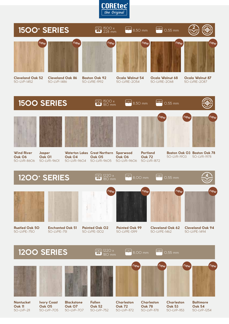



50-LVP-1452

**Cleveland Oak 86** 50-LVP-1486

**Boston Oak 92** 50-LVRE-1992

**Ocala Walnut 54** 50-LVRE-2054

50-LVRE-2068

50-LVRE-2087





**Nantucket Oak 11** 50-LVP-211

**Ivory Coast Oak 05** 50-LVP-705

**Blackstone Oak 07** 50-LVP-707

**Fallen Oak 52** 50-LVP-752

**Charleston Oak 72** 50-LVP-1172

**Charleston Oak 78** 50-LVP-1178 **Charleston Oak 53** 50-LVP-1153 **Baltimore Oak 54** 50-LVP-1254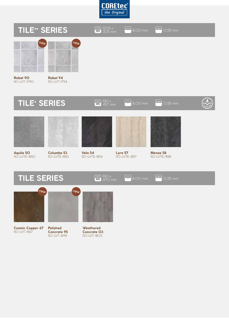





470 mm





**Cosmic Copper 67** 50-LVT-1567



new

**Concrete 95** 50-LVT-1695



**Weathered Concrete 03** 50-LVT-1803